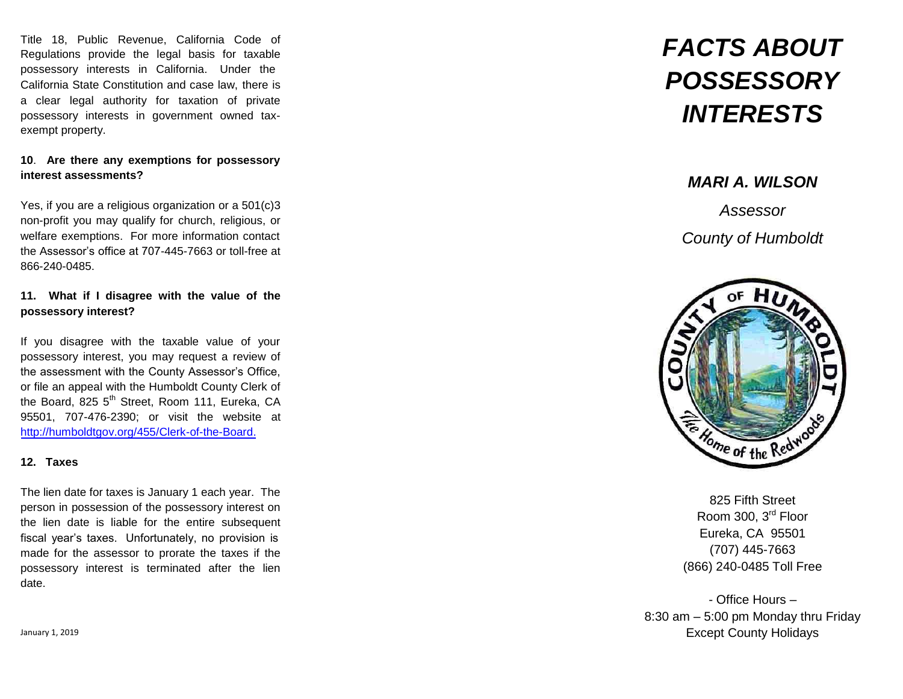Title 18, Public Revenue, California Code of Regulations provide the legal basis for taxable possessory interests in California. Under the California State Constitution and case law, there is a clear legal authority for taxation of private possessory interests in government owned taxexempt property.

## **10** . **Are there any exemptions for possessory interest assessments?**

Yes, if you are a religious organization or a 501(c)3 non-profit you may qualify for church, religious, or welfare exemptions. For more information contact the Assessor's office at 707 -445-7663 or toll-free at 866-240-0485.

## **11. What if I disagree with the value of the possessory interest?**

If you disagree with the taxable value of your possessory interest, you may request a review of the assessment with the County Assessor's Office, or file an appeal with the Humboldt County Clerk of the Board, 825 5<sup>th</sup> Street, Room 111, Eureka, CA 95501, 707-476-2390; or visit the website at [http://humboldtgov.org/455/Clerk-of](http://humboldtgov.org/455/Clerk-of-the-Board.) -the-Board.

## **12. Taxes**

The lien date for taxes is January 1 each year. The person in possession of the possessory interest on the lien date is liable for the entire subsequent fiscal year's taxes. Unfortunately, no provision is made for the assessor to prorate the taxes if the possessory interest is terminated after the lien date.

## *MARI A. WILSON*

*Assessor County of Humboldt* 



825 Fifth Street Room 300, 3rd Floor Eureka, CA 95501 (707) 445-7663 (866) 240-0485 Toll Free

- Office Hours – 8:30 am – 5:00 pm Monday thru Friday Except County Holidays